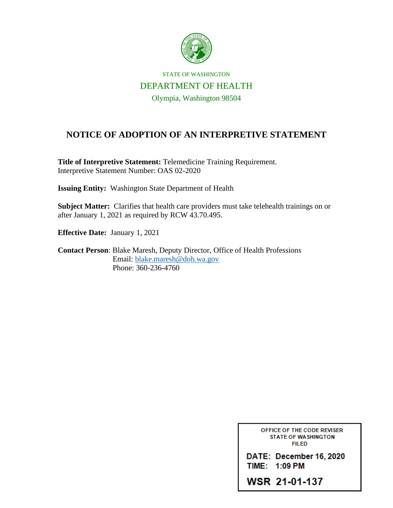

STATE OF WASHINGTON DEPARTMENT OF HEALTH Olympia, Washington 98504

## **NOTICE OF ADOPTION OF AN INTERPRETIVE STATEMENT**

**Title of Interpretive Statement:** Telemedicine Training Requirement. Interpretive Statement Number: OAS 02-2020

**Issuing Entity:** Washington State Department of Health

**Subject Matter:** Clarifies that health care providers must take telehealth trainings on or after January 1, 2021 as required by RCW 43.70.495.

**Effective Date:** January 1, 2021

**Contact Person**: Blake Maresh, Deputy Director, Office of Health Professions Email: [blake.maresh@doh.wa.gov](mailto:blake.maresh@doh.wa.gov) Phone: 360-236-4760

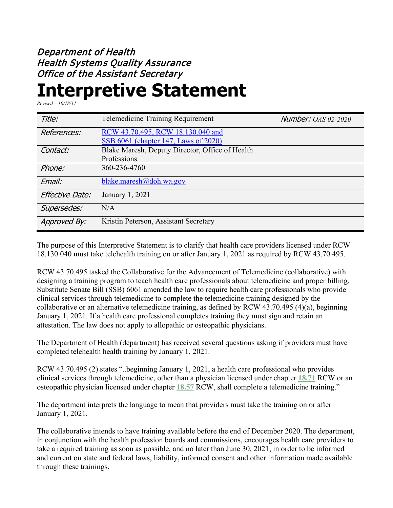## Department of Health Health Systems Quality Assurance Office of the Assistant Secretary

## **Interpretive Statement**

*Revised – 10/18/11*

| Title:          | <b>Telemedicine Training Requirement</b>        | <b>Number: OAS 02-2020</b> |
|-----------------|-------------------------------------------------|----------------------------|
| References:     | RCW 43.70.495, RCW 18.130.040 and               |                            |
|                 | SSB 6061 (chapter 147, Laws of 2020)            |                            |
| Contact:        | Blake Maresh, Deputy Director, Office of Health |                            |
|                 | Professions                                     |                            |
| Phone:          | 360-236-4760                                    |                            |
| Email:          | blake.maresh $(a)$ doh.wa.gov                   |                            |
| Effective Date: | January 1, 2021                                 |                            |
| Supersedes:     | N/A                                             |                            |
| Approved By:    | Kristin Peterson, Assistant Secretary           |                            |

The purpose of this Interpretive Statement is to clarify that health care providers licensed under RCW 18.130.040 must take telehealth training on or after January 1, 2021 as required by RCW 43.70.495.

RCW 43.70.495 tasked the Collaborative for the Advancement of Telemedicine (collaborative) with designing a training program to teach health care professionals about telemedicine and proper billing. Substitute Senate Bill (SSB) 6061 amended the law to require health care professionals who provide clinical services through telemedicine to complete the telemedicine training designed by the collaborative or an alternative telemedicine training, as defined by RCW 43.70.495 (4)(a), beginning January 1, 2021. If a health care professional completes training they must sign and retain an attestation. The law does not apply to allopathic or osteopathic physicians.

The Department of Health (department) has received several questions asking if providers must have completed telehealth health training by January 1, 2021.

RCW 43.70.495 (2) states "..beginning January 1, 2021, a health care professional who provides clinical services through telemedicine, other than a physician licensed under chapter **[18.71](https://gcc02.safelinks.protection.outlook.com/?url=http%3A%2F%2Fapp.leg.wa.gov%2FRCW%2Fdefault.aspx%3Fcite%3D18.71&data=04%7C01%7CKristin.Reichl%40DOH.WA.GOV%7Cb6842ab0c0e24c116b6908d89728cbba%7C11d0e217264e400a8ba057dcc127d72d%7C0%7C0%7C637425548755289751%7CUnknown%7CTWFpbGZsb3d8eyJWIjoiMC4wLjAwMDAiLCJQIjoiV2luMzIiLCJBTiI6Ik1haWwiLCJXVCI6Mn0%3D%7C1000&sdata=rEU7Q8l1FA7Q3ppgym3aoy1%2B77fYH%2FpBxE63c3zvdsY%3D&reserved=0)** RCW or an osteopathic physician licensed under chapter **[18.57](https://gcc02.safelinks.protection.outlook.com/?url=http%3A%2F%2Fapp.leg.wa.gov%2FRCW%2Fdefault.aspx%3Fcite%3D18.57&data=04%7C01%7CKristin.Reichl%40DOH.WA.GOV%7Cb6842ab0c0e24c116b6908d89728cbba%7C11d0e217264e400a8ba057dcc127d72d%7C0%7C0%7C637425548755289751%7CUnknown%7CTWFpbGZsb3d8eyJWIjoiMC4wLjAwMDAiLCJQIjoiV2luMzIiLCJBTiI6Ik1haWwiLCJXVCI6Mn0%3D%7C1000&sdata=8ThFk%2F%2BPaoqkcAzZtcyM%2FnMTCP6mb5s92UYf0SNiwN0%3D&reserved=0)** RCW, shall complete a telemedicine training."

The department interprets the language to mean that providers must take the training on or after January 1, 2021.

The collaborative intends to have training available before the end of December 2020. The department, in conjunction with the health profession boards and commissions, encourages health care providers to take a required training as soon as possible, and no later than June 30, 2021, in order to be informed and current on state and federal laws, liability, informed consent and other information made available through these trainings.